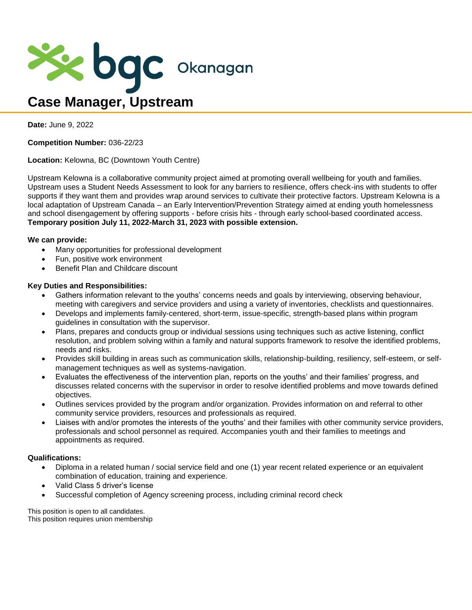

**Date:** June 9, 2022

**Competition Number:** 036-22/23

**Location:** Kelowna, BC (Downtown Youth Centre)

Upstream Kelowna is a collaborative community project aimed at promoting overall wellbeing for youth and families. Upstream uses a Student Needs Assessment to look for any barriers to resilience, offers check-ins with students to offer supports if they want them and provides wrap around services to cultivate their protective factors. Upstream Kelowna is a local adaptation of Upstream Canada – an Early Intervention/Prevention Strategy aimed at ending youth homelessness and school disengagement by offering supports - before crisis hits - through early school-based coordinated access. **Temporary position July 11, 2022-March 31, 2023 with possible extension.**

## **We can provide:**

- Many opportunities for professional development
- Fun, positive work environment
- Benefit Plan and Childcare discount

## **Key Duties and Responsibilities:**

- Gathers information relevant to the youths' concerns needs and goals by interviewing, observing behaviour, meeting with caregivers and service providers and using a variety of inventories, checklists and questionnaires.
- Develops and implements family-centered, short-term, issue-specific, strength-based plans within program guidelines in consultation with the supervisor.
- Plans, prepares and conducts group or individual sessions using techniques such as active listening, conflict resolution, and problem solving within a family and natural supports framework to resolve the identified problems, needs and risks.
- Provides skill building in areas such as communication skills, relationship-building, resiliency, self-esteem, or selfmanagement techniques as well as systems-navigation.
- Evaluates the effectiveness of the intervention plan, reports on the youths' and their families' progress, and discusses related concerns with the supervisor in order to resolve identified problems and move towards defined objectives.
- Outlines services provided by the program and/or organization. Provides information on and referral to other community service providers, resources and professionals as required.
- Liaises with and/or promotes the interests of the youths' and their families with other community service providers, professionals and school personnel as required. Accompanies youth and their families to meetings and appointments as required.

## **Qualifications:**

- Diploma in a related human / social service field and one (1) year recent related experience or an equivalent combination of education, training and experience.
- Valid Class 5 driver's license
- Successful completion of Agency screening process, including criminal record check

This position is open to all candidates. This position requires union membership